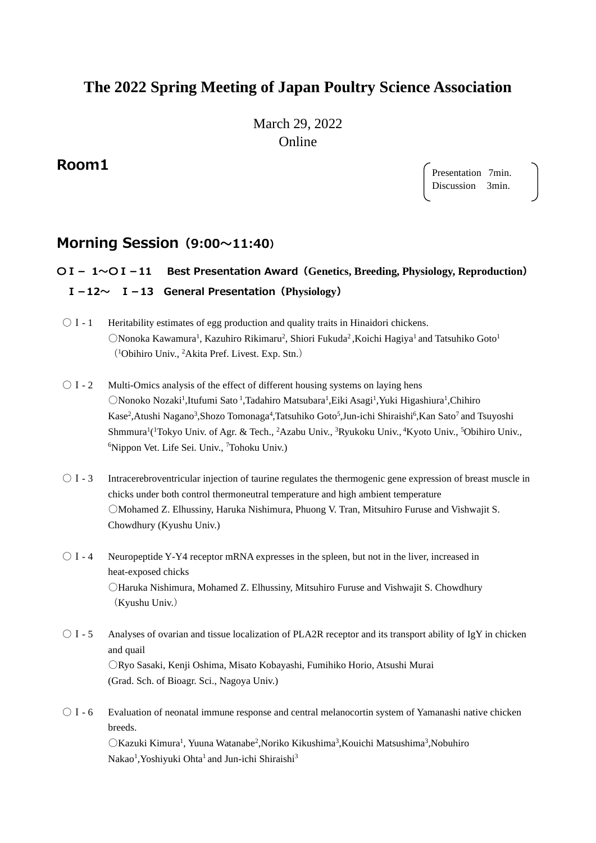# **The 2022 Spring Meeting of Japan Poultry Science Association**

March 29, 2022 Online

## **Room1**

Presentation 7min. Discussion 3min.

## **Morning Session(9:00~11:40)**

## **〇Ⅰ- 1~〇Ⅰ-11 Best Presentation Award(Genetics, Breeding, Physiology, Reproduction) Ⅰ-12~ Ⅰ-13 General Presentation(Physiology)**

- Ⅰ 1 Heritability estimates of egg production and quality traits in Hinaidori chickens. ONonoka Kawamura<sup>1</sup>, Kazuhiro Rikimaru<sup>2</sup>, Shiori Fukuda<sup>2</sup>, Koichi Hagiya<sup>1</sup> and Tatsuhiko Goto<sup>1</sup> (<sup>1</sup> Obihiro Univ., <sup>2</sup> Akita Pref. Livest. Exp. Stn.)
- $\bigcirc$  I 2 Multi-Omics analysis of the effect of different housing systems on laying hens ONonoko Nozaki<sup>1</sup>, Itufumi Sato<sup>1</sup>, Tadahiro Matsubara<sup>1</sup>, Eiki Asagi<sup>1</sup>, Yuki Higashiura<sup>1</sup>, Chihiro Kase<sup>2</sup>,Atushi Nagano<sup>3</sup>,Shozo Tomonaga<sup>4</sup>,Tatsuhiko Goto<sup>5</sup>,Jun-ichi Shiraishi<sup>6</sup>,Kan Sato<sup>7</sup> and Tsuyoshi Shmmura<sup>1</sup>(<sup>1</sup>Tokyo Univ. of Agr. & Tech., <sup>2</sup>Azabu Univ., <sup>3</sup>Ryukoku Univ., <sup>4</sup>Kyoto Univ., <sup>5</sup>Obihiro Univ., <sup>6</sup>Nippon Vet. Life Sei. Univ., <sup>7</sup>Tohoku Univ.)
- Ⅰ-3 Intracerebroventricular injection of taurine regulates the thermogenic gene expression of breast muscle in chicks under both control thermoneutral temperature and high ambient temperature 〇Mohamed Z. Elhussiny, Haruka Nishimura, Phuong V. Tran, Mitsuhiro Furuse and Vishwajit S. Chowdhury (Kyushu Univ.)
- $\bigcirc$  I 4 Neuropeptide Y-Y4 receptor mRNA expresses in the spleen, but not in the liver, increased in heat-exposed chicks 〇Haruka Nishimura, Mohamed Z. Elhussiny, Mitsuhiro Furuse and Vishwajit S. Chowdhury (Kyushu Univ.)
- $\bigcirc$  I-5 Analyses of ovarian and tissue localization of PLA2R receptor and its transport ability of IgY in chicken and quail 〇Ryo Sasaki, Kenji Oshima, Misato Kobayashi, Fumihiko Horio, Atsushi Murai (Grad. Sch. of Bioagr. Sci., Nagoya Univ.)
- ○Ⅰ- 6 Evaluation of neonatal immune response and central melanocortin system of Yamanashi native chicken breeds. OKazuki Kimura<sup>1</sup>, Yuuna Watanabe<sup>2</sup>, Noriko Kikushima<sup>3</sup>, Kouichi Matsushima<sup>3</sup>, Nobuhiro Nakao<sup>1</sup>, Yoshiyuki Ohta<sup>1</sup> and Jun-ichi Shiraishi<sup>3</sup>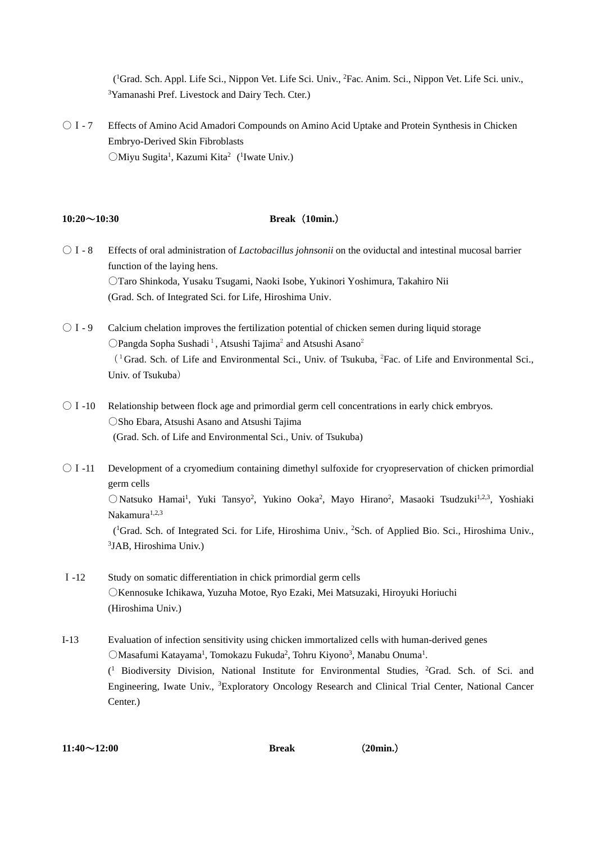( 1 Grad. Sch. Appl. Life Sci., Nippon Vet. Life Sci. Univ., 2 Fac. Anim. Sci., Nippon Vet. Life Sci. univ., <sup>3</sup>Yamanashi Pref. Livestock and Dairy Tech. Cter.)

○Ⅰ- 7 Effects of Amino Acid Amadori Compounds on Amino Acid Uptake and Protein Synthesis in Chicken Embryo-Derived Skin Fibroblasts OMiyu Sugita<sup>1</sup>, Kazumi Kita<sup>2</sup> (<sup>1</sup>Iwate Univ.)

#### **10:20**~**10:30 Break**(**10min.**)

- 〇Ⅰ- 8 Effects of oral administration of *Lactobacillus johnsonii* on the oviductal and intestinal mucosal barrier function of the laying hens. 〇Taro Shinkoda, Yusaku Tsugami, Naoki Isobe, Yukinori Yoshimura, Takahiro Nii (Grad. Sch. of Integrated Sci. for Life, Hiroshima Univ.
- $\bigcirc$  I 9 Calcium chelation improves the fertilization potential of chicken semen during liquid storage  $O$ Pangda Sopha Sushadi<sup>1</sup>, Atsushi Tajima<sup>2</sup> and Atsushi Asano<sup>2</sup> <sup>(1</sup>Grad. Sch. of Life and Environmental Sci., Univ. of Tsukuba, <sup>2</sup>Fac. of Life and Environmental Sci., Univ. of Tsukuba)
- 〇Ⅰ-10 Relationship between flock age and primordial germ cell concentrations in early chick embryos. ○Sho Ebara, Atsushi Asano and Atsushi Tajima (Grad. Sch. of Life and Environmental Sci., Univ. of Tsukuba)
- 〇Ⅰ-11 Development of a cryomedium containing dimethyl sulfoxide for cryopreservation of chicken primordial germ cells O Natsuko Hamai<sup>1</sup>, Yuki Tansyo<sup>2</sup>, Yukino Ooka<sup>2</sup>, Mayo Hirano<sup>2</sup>, Masaoki Tsudzuki<sup>1,2,3</sup>, Yoshiaki Nakamura1,2,3 ( 1 Grad. Sch. of Integrated Sci. for Life, Hiroshima Univ., 2 Sch. of Applied Bio. Sci., Hiroshima Univ., 3 JAB, Hiroshima Univ.)
- Ⅰ-12 Study on somatic differentiation in chick primordial germ cells 〇Kennosuke Ichikawa, Yuzuha Motoe, Ryo Ezaki, Mei Matsuzaki, Hiroyuki Horiuchi (Hiroshima Univ.)
- I-13 Evaluation of infection sensitivity using chicken immortalized cells with human-derived genes OMasafumi Katayama<sup>1</sup>, Tomokazu Fukuda<sup>2</sup>, Tohru Kiyono<sup>3</sup>, Manabu Onuma<sup>1</sup>. ( <sup>1</sup> Biodiversity Division, National Institute for Environmental Studies, <sup>2</sup> Grad. Sch. of Sci. and Engineering, Iwate Univ., <sup>3</sup>Exploratory Oncology Research and Clinical Trial Center, National Cancer Center.)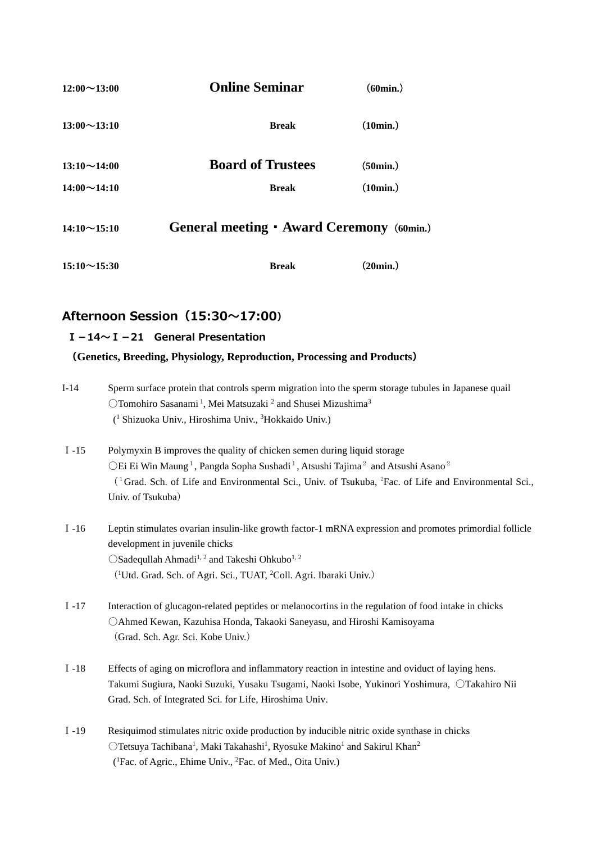| $12:00 \sim 13:00$ | <b>Online Seminar</b>                            | (60min.) |
|--------------------|--------------------------------------------------|----------|
| $13:00 \sim 13:10$ | <b>Break</b>                                     | (10min.) |
| $13:10 \sim 14:00$ | <b>Board of Trustees</b>                         | (50min.) |
| $14:00 \sim 14:10$ | <b>Break</b>                                     | (10min.) |
| $14:10 \sim 15:10$ | <b>General meeting • Award Ceremony (60min.)</b> |          |
| $15:10 \sim 15:30$ | <b>Break</b>                                     | (20min.) |

## **Afternoon Session(15:30~17:00)**

### **Ⅰ-14~Ⅰ-21 General Presentation**

#### **(Genetics, Breeding, Physiology, Reproduction, Processing and Products)**

- I-14 Sperm surface protein that controls sperm migration into the sperm storage tubules in Japanese quail OTomohiro Sasanami<sup>1</sup>, Mei Matsuzaki<sup>2</sup> and Shusei Mizushima<sup>3</sup> ( <sup>1</sup> Shizuoka Univ., Hiroshima Univ., 3 Hokkaido Univ.)
- Ⅰ-15 Polymyxin B improves the quality of chicken semen during liquid storage  $\bigcirc$ Ei Ei Win Maung<sup>1</sup>, Pangda Sopha Sushadi<sup>1</sup>, Atsushi Tajima<sup>2</sup> and Atsushi Asano<sup>2</sup> <sup>(1</sup>Grad. Sch. of Life and Environmental Sci., Univ. of Tsukuba, <sup>2</sup>Fac. of Life and Environmental Sci., Univ. of Tsukuba)
- Ⅰ-16 Leptin stimulates ovarian insulin-like growth factor-1 mRNA expression and promotes primordial follicle development in juvenile chicks  $\bigcirc$ Sadequllah Ahmadi<sup>1, 2</sup> and Takeshi Ohkubo<sup>1, 2</sup> (<sup>1</sup> Utd. Grad. Sch. of Agri. Sci., TUAT, 2 Coll. Agri. Ibaraki Univ.)
- Ⅰ-17 Interaction of glucagon-related peptides or melanocortins in the regulation of food intake in chicks 〇Ahmed Kewan, Kazuhisa Honda, Takaoki Saneyasu, and Hiroshi Kamisoyama (Grad. Sch. Agr. Sci. Kobe Univ.)
- Ⅰ-18 Effects of aging on microflora and inflammatory reaction in intestine and oviduct of laying hens. Takumi Sugiura, Naoki Suzuki, Yusaku Tsugami, Naoki Isobe, Yukinori Yoshimura, 〇Takahiro Nii Grad. Sch. of Integrated Sci. for Life, Hiroshima Univ.
- Ⅰ-19 Resiquimod stimulates nitric oxide production by inducible nitric oxide synthase in chicks OTetsuya Tachibana<sup>1</sup>, Maki Takahashi<sup>1</sup>, Ryosuke Makino<sup>1</sup> and Sakirul Khan<sup>2</sup> ( 1 Fac. of Agric., Ehime Univ., 2 Fac. of Med., Oita Univ.)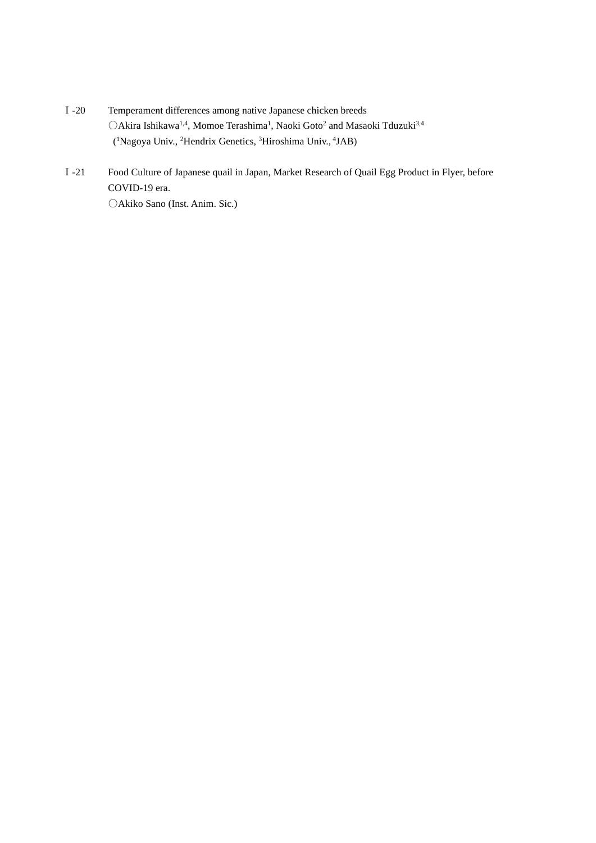- Ⅰ-20 Temperament differences among native Japanese chicken breeds OAkira Ishikawa<sup>1,4</sup>, Momoe Terashima<sup>1</sup>, Naoki Goto<sup>2</sup> and Masaoki Tduzuki<sup>3,4</sup> (<sup>1</sup>Nagoya Univ., <sup>2</sup>Hendrix Genetics, <sup>3</sup>Hiroshima Univ., <sup>4</sup>JAB)
- Ⅰ-21 Food Culture of Japanese quail in Japan, Market Research of Quail Egg Product in Flyer, before COVID-19 era. 〇Akiko Sano (Inst. Anim. Sic.)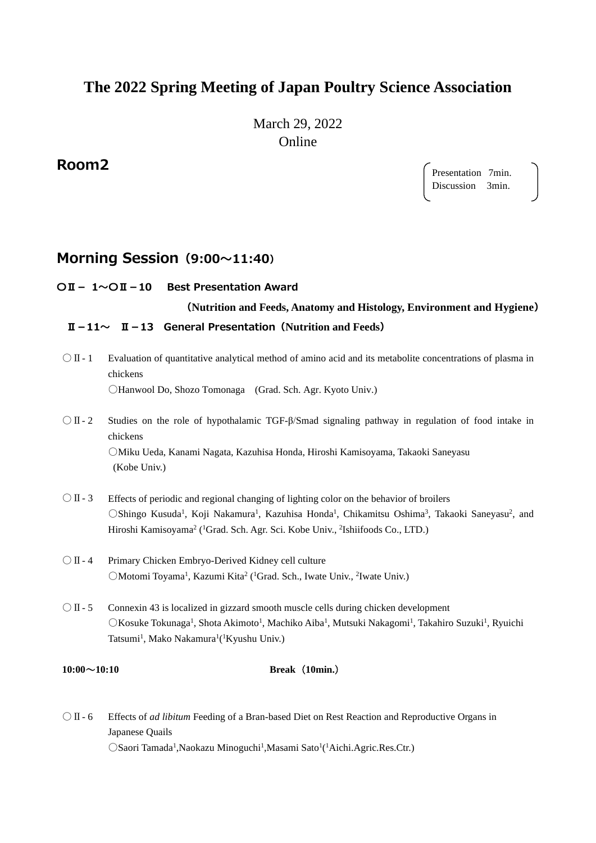# **The 2022 Spring Meeting of Japan Poultry Science Association**

March 29, 2022 Online

## **Room2**

Presentation 7min. Discussion 3min.

## **Morning Session(9:00~11:40)**

#### **〇Ⅱ- 1~〇Ⅱ-10 Best Presentation Award**

# **(Nutrition and Feeds, Anatomy and Histology, Environment and Hygiene)**

### **Ⅱ-11~ Ⅱ-13 General Presentation(Nutrition and Feeds)**

- ○Ⅱ- 1 Evaluation of quantitative analytical method of amino acid and its metabolite concentrations of plasma in chickens 〇Hanwool Do, Shozo Tomonaga (Grad. Sch. Agr. Kyoto Univ.)
- ○Ⅱ- 2 Studies on the role of hypothalamic TGF-β/Smad signaling pathway in regulation of food intake in chickens ○Miku Ueda, Kanami Nagata, Kazuhisa Honda, Hiroshi Kamisoyama, Takaoki Saneyasu (Kobe Univ.)
- ○Ⅱ- 3 Effects of periodic and regional changing of lighting color on the behavior of broilers ○Shingo Kusuda<sup>1</sup>, Koji Nakamura<sup>1</sup>, Kazuhisa Honda<sup>1</sup>, Chikamitsu Oshima<sup>3</sup>, Takaoki Saneyasu<sup>2</sup>, and Hiroshi Kamisoyama<sup>2</sup> (<sup>1</sup>Grad. Sch. Agr. Sci. Kobe Univ., <sup>2</sup>Ishiifoods Co., LTD.)
- ○Ⅱ- 4 Primary Chicken Embryo-Derived Kidney cell culture OMotomi Toyama<sup>1</sup>, Kazumi Kita<sup>2</sup> (<sup>1</sup>Grad. Sch., Iwate Univ., <sup>2</sup>Iwate Univ.)
- ○Ⅱ- 5 Connexin 43 is localized in gizzard smooth muscle cells during chicken development ○Kosuke Tokunaga1 , Shota Akimoto1 , Machiko Aiba1 , Mutsuki Nakagomi1 , Takahiro Suzuki1 , Ryuichi Tatsumi<sup>1</sup>, Mako Nakamura<sup>1</sup>(<sup>1</sup>Kyushu Univ.)

#### **10:00**~**10:10 Break**(**10min.**)

○Ⅱ- 6 Effects of *ad libitum* Feeding of a Bran-based Diet on Rest Reaction and Reproductive Organs in Japanese Quails OSaori Tamada<sup>1</sup>, Naokazu Minoguchi<sup>1</sup>, Masami Sato<sup>1</sup>(<sup>1</sup>Aichi. Agric. Res. Ctr.)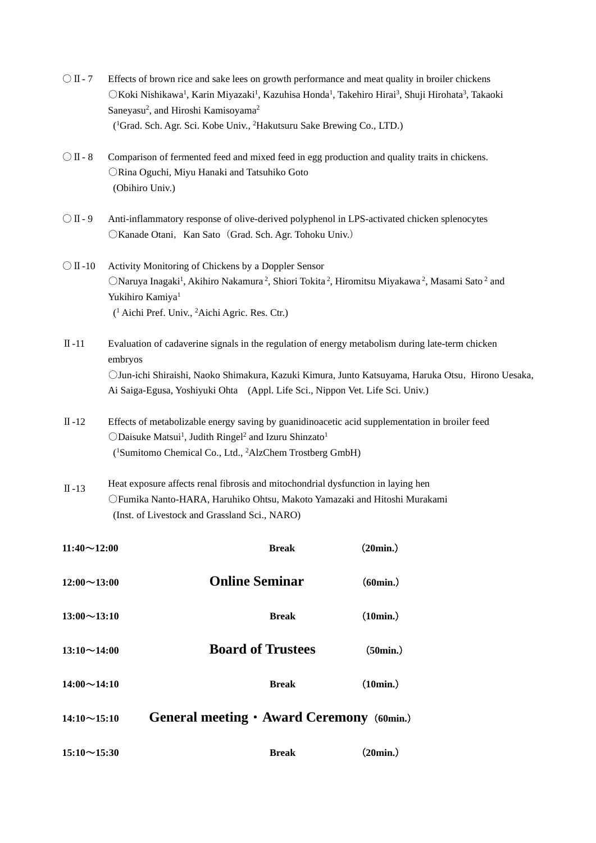- $\circ$  II 7 Effects of brown rice and sake lees on growth performance and meat quality in broiler chickens ○Koki Nishikawa1 , Karin Miyazaki1 , Kazuhisa Honda1 , Takehiro Hirai3 , Shuji Hirohata3 , Takaoki Saneyasu<sup>2</sup>, and Hiroshi Kamisoyama<sup>2</sup> ( 1 Grad. Sch. Agr. Sci. Kobe Univ., 2 Hakutsuru Sake Brewing Co., LTD.)
- 〇Ⅱ- 8 Comparison of fermented feed and mixed feed in egg production and quality traits in chickens. ○Rina Oguchi, Miyu Hanaki and Tatsuhiko Goto (Obihiro Univ.)
- 〇Ⅱ- 9 Anti-inflammatory response of olive-derived polyphenol in LPS-activated chicken splenocytes OKanade Otani, Kan Sato (Grad. Sch. Agr. Tohoku Univ.)
- 〇Ⅱ-10 Activity Monitoring of Chickens by a Doppler Sensor ONaruya Inagaki<sup>1</sup>, Akihiro Nakamura<sup>2</sup>, Shiori Tokita<sup>2</sup>, Hiromitsu Miyakawa<sup>2</sup>, Masami Sato<sup>2</sup> and Yukihiro Kamiya<sup>1</sup> ( <sup>1</sup> Aichi Pref. Univ., 2 Aichi Agric. Res. Ctr.)
- Ⅱ-11 Evaluation of cadaverine signals in the regulation of energy metabolism during late-term chicken embryos 〇Jun-ichi Shiraishi, Naoko Shimakura, Kazuki Kimura, Junto Katsuyama, Haruka Otsu,Hirono Uesaka, Ai Saiga-Egusa, Yoshiyuki Ohta (Appl. Life Sci., Nippon Vet. Life Sci. Univ.)
- Ⅱ-12 Effects of metabolizable energy saving by guanidinoacetic acid supplementation in broiler feed  $\bigcirc$ Daisuke Matsui<sup>1</sup>, Judith Ringel<sup>2</sup> and Izuru Shinzato<sup>1</sup> ( 1 Sumitomo Chemical Co., Ltd., 2 AlzChem Trostberg GmbH)
- <sup>Ⅱ</sup>-13 Heat exposure affects renal fibrosis and mitochondrial dysfunction in laying hen ○Fumika Nanto-HARA, Haruhiko Ohtsu, Makoto Yamazaki and Hitoshi Murakami (Inst. of Livestock and Grassland Sci., NARO)

| $11:40 \sim 12:00$ | <b>Break</b>                                     | (20min.) |
|--------------------|--------------------------------------------------|----------|
| $12:00 \sim 13:00$ | <b>Online Seminar</b>                            | (60min.) |
| $13:00 \sim 13:10$ | <b>Break</b>                                     | (10min.) |
| $13:10 \sim 14:00$ | <b>Board of Trustees</b>                         | (50min.) |
| $14:00 \sim 14:10$ | <b>Break</b>                                     | (10min.) |
| $14:10 \sim 15:10$ | <b>General meeting • Award Ceremony (60min.)</b> |          |
| $15:10 \sim 15:30$ | <b>Break</b>                                     | (20min.) |